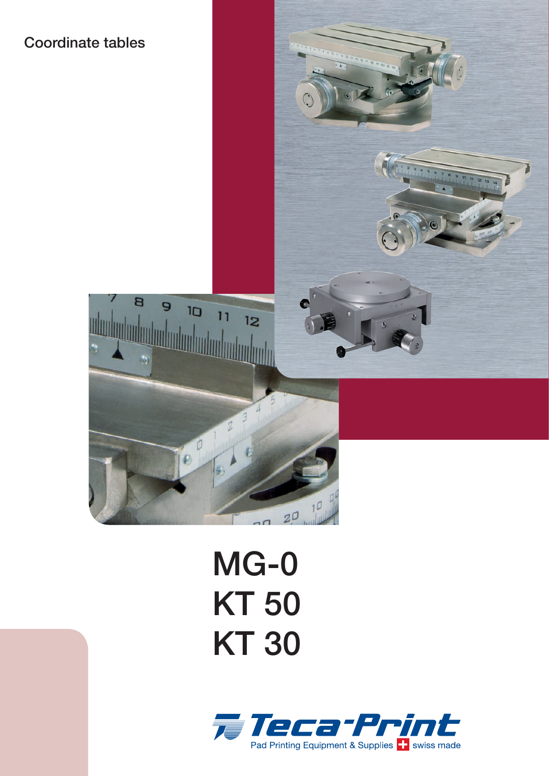# Coordinate tables



# MG-0 KT 50 **KT 30**